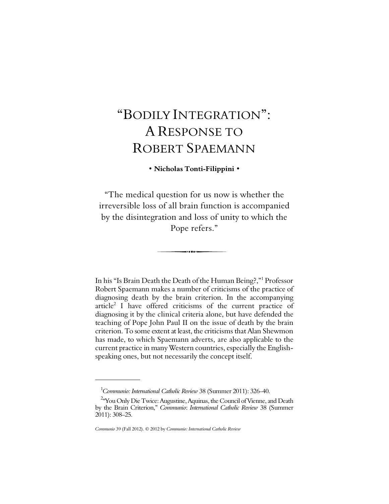# "BODILY INTEGRATION": DILY INTEGRATION":<br>A RESPONSE TO<br>OPERT SPAEMANNI ROBERT SPAEMANN

## **• Nicholas Tonti-Filippini •**

"The medical question for us now is whether the irreversible loss of all brain function is accompanied by the disintegration and loss of unity to which the Pope refers."

------

In his "Is Brain Death the Death of the Human Being?,"<sup>1</sup> Professor Robert Spaemann makes a number of criticisms of the practice of diagnosing death by the brain criterion. In the accompanying article<sup>2</sup> I have offered criticisms of the current practice of diagnosing it by the clinical criteria alone, but have defended the teaching of Pope John Paul II on the issue of death by the brain criterion. To some extent at least, the criticisms that Alan Shewmon has made, to which Spaemann adverts, are also applicable to the current practice in many Western countries, especially the Englishspeaking ones, but not necessarily the concept itself.

<sup>1</sup>*Communio: International Catholic Review* 38 (Summer 2011): 326–40.

<sup>&</sup>lt;sup>2</sup> You Only Die Twice: Augustine, Aquinas, the Council of Vienne, and Death by the Brain Criterion," *Communio*: *International Catholic Review* 38 (Summer 2011): 308–25.

*Communio* 39 (Fall 2012). © 2012 by *Communio: International Catholic Review*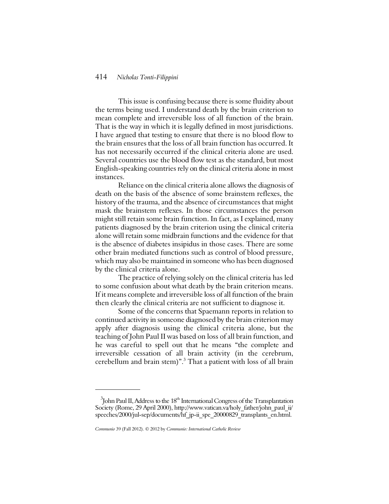#### 414 *Nicholas Tonti-Filippini*

This issue is confusing because there is some fluidity about the terms being used. I understand death by the brain criterion to mean complete and irreversible loss of all function of the brain. That is the way in which it is legally defined in most jurisdictions. I have argued that testing to ensure that there is no blood flow to the brain ensures that the loss of all brain function has occurred. It has not necessarily occurred if the clinical criteria alone are used. Several countries use the blood flow test as the standard, but most English-speaking countries rely on the clinical criteria alone in most instances.

Reliance on the clinical criteria alone allows the diagnosis of death on the basis of the absence of some brainstem reflexes, the history of the trauma, and the absence of circumstances that might mask the brainstem reflexes. In those circumstances the person might still retain some brain function. In fact, as I explained, many patients diagnosed by the brain criterion using the clinical criteria alone will retain some midbrain functions and the evidence for that is the absence of diabetes insipidus in those cases. There are some other brain mediated functions such as control of blood pressure, which may also be maintained in someone who has been diagnosed by the clinical criteria alone.

The practice of relying solely on the clinical criteria has led to some confusion about what death by the brain criterion means. If it means complete and irreversible loss of all function of the brain then clearly the clinical criteria are not sufficient to diagnose it.

Some of the concerns that Spaemann reports in relation to continued activity in someone diagnosed by the brain criterion may apply after diagnosis using the clinical criteria alone, but the teaching of John Paul II was based on loss of all brain function, and he was careful to spell out that he means "the complete and irreversible cessation of all brain activity (in the cerebrum, cerebellum and brain stem)". $^3$  That a patient with loss of all brain

 $3$ John Paul II, Address to the  $18<sup>th</sup>$  International Congress of the Transplantation Society (Rome, 29 April 2000), http://www.vatican.va/holy\_father/john\_paul\_ii/ speeches/2000/jul-sep/documents/hf\_jp-ii\_spe\_20000829\_transplants\_en.html.

*Communio* 39 (Fall 2012). © 2012 by *Communio: International Catholic Review*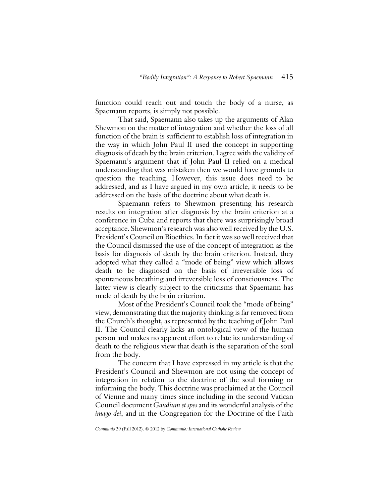function could reach out and touch the body of a nurse, as Spaemann reports, is simply not possible.

That said, Spaemann also takes up the arguments of Alan Shewmon on the matter of integration and whether the loss of all function of the brain is sufficient to establish loss of integration in the way in which John Paul II used the concept in supporting diagnosis of death by the brain criterion. I agree with the validity of Spaemann's argument that if John Paul II relied on a medical understanding that was mistaken then we would have grounds to question the teaching. However, this issue does need to be addressed, and as I have argued in my own article, it needs to be addressed on the basis of the doctrine about what death is.

Spaemann refers to Shewmon presenting his research results on integration after diagnosis by the brain criterion at a conference in Cuba and reports that there was surprisingly broad acceptance. Shewmon's research was also well received by the U.S. President's Council on Bioethics. In fact it was so well received that the Council dismissed the use of the concept of integration as the basis for diagnosis of death by the brain criterion. Instead, they adopted what they called a "mode of being" view which allows death to be diagnosed on the basis of irreversible loss of spontaneous breathing and irreversible loss of consciousness. The latter view is clearly subject to the criticisms that Spaemann has made of death by the brain criterion.

Most of the President's Council took the "mode of being" view, demonstrating that the majority thinking is far removed from the Church's thought, as represented by the teaching of John Paul II. The Council clearly lacks an ontological view of the human person and makes no apparent effort to relate its understanding of death to the religious view that death is the separation of the soul from the body.

The concern that I have expressed in my article is that the President's Council and Shewmon are not using the concept of integration in relation to the doctrine of the soul forming or informing the body. This doctrine was proclaimed at the Council of Vienne and many times since including in the second Vatican Council document *Gaudium et spes* and its wonderful analysis of the *imago dei*, and in the Congregation for the Doctrine of the Faith

*Communio* 39 (Fall 2012). © 2012 by *Communio: International Catholic Review*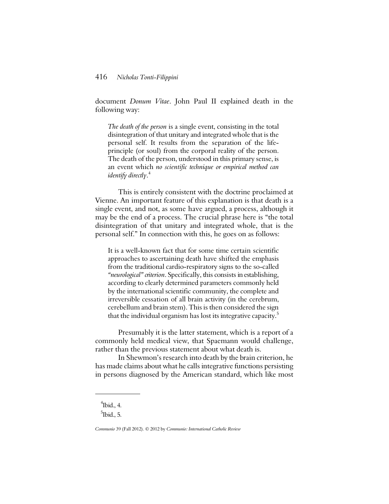document *Donum Vitae*. John Paul II explained death in the following way:

*The death of the person* is a single event, consisting in the total disintegration of that unitary and integrated whole that is the personal self. It results from the separation of the lifeprinciple (or soul) from the corporal reality of the person. The death of the person, understood in this primary sense, is an event which *no scientific technique or empirical method can identify directly*.<sup>4</sup>

This is entirely consistent with the doctrine proclaimed at Vienne. An important feature of this explanation is that death is a single event, and not, as some have argued, a process, although it may be the end of a process. The crucial phrase here is "the total disintegration of that unitary and integrated whole, that is the personal self." In connection with this, he goes on as follows:

It is a well-known fact that for some time certain scientific approaches to ascertaining death have shifted the emphasis from the traditional cardio-respiratory signs to the so-called *"neurological" criterion*. Specifically, this consists in establishing, according to clearly determined parameters commonly held by the international scientific community, the complete and irreversible cessation of all brain activity (in the cerebrum, cerebellum and brain stem). This is then considered the sign that the individual organism has lost its integrative capacity.<sup>5</sup>

Presumably it is the latter statement, which is a report of a commonly held medical view, that Spaemann would challenge, rather than the previous statement about what death is.

In Shewmon's research into death by the brain criterion, he has made claims about what he calls integrative functions persisting in persons diagnosed by the American standard, which like most

 $4$ Ibid., 4.

 $<sup>5</sup>$ Ibid., 5.</sup>

*Communio* 39 (Fall 2012). © 2012 by *Communio: International Catholic Review*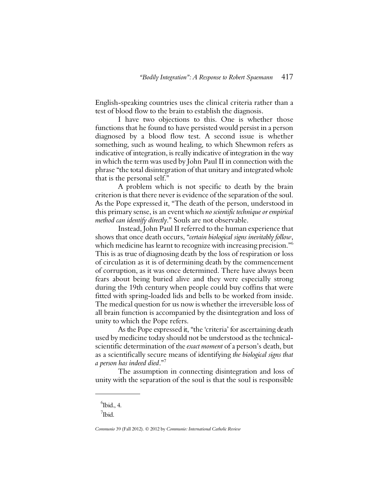English-speaking countries uses the clinical criteria rather than a test of blood flow to the brain to establish the diagnosis.

I have two objections to this. One is whether those functions that he found to have persisted would persist in a person diagnosed by a blood flow test. A second issue is whether something, such as wound healing, to which Shewmon refers as indicative of integration, is really indicative of integration in the way in which the term was used by John Paul II in connection with the phrase "the total disintegration of that unitary and integrated whole that is the personal self."

A problem which is not specific to death by the brain criterion is that there never is evidence of the separation of the soul. As the Pope expressed it, "The death of the person, understood in this primary sense, is an event which *no scientific technique or empirical method can identify directly*." Souls are not observable.

Instead, John Paul II referred to the human experience that shows that once death occurs, "*certain biological signs inevitably follow*, which medicine has learnt to recognize with increasing precision."<sup>6</sup> This is as true of diagnosing death by the loss of respiration or loss of circulation as it is of determining death by the commencement of corruption, as it was once determined. There have always been fears about being buried alive and they were especially strong during the 19th century when people could buy coffins that were fitted with spring-loaded lids and bells to be worked from inside. The medical question for us now is whether the irreversible loss of all brain function is accompanied by the disintegration and loss of unity to which the Pope refers.

As the Pope expressed it, "the 'criteria' for ascertaining death used by medicine today should not be understood as the technicalscientific determination of the *exact moment* of a person's death, but as a scientifically secure means of identifying *the biological signs that a person has indeed died*."<sup>7</sup>

The assumption in connecting disintegration and loss of unity with the separation of the soul is that the soul is responsible

 $6$ Ibid., 4.

 $7$ Ibid.

*Communio* 39 (Fall 2012). © 2012 by *Communio: International Catholic Review*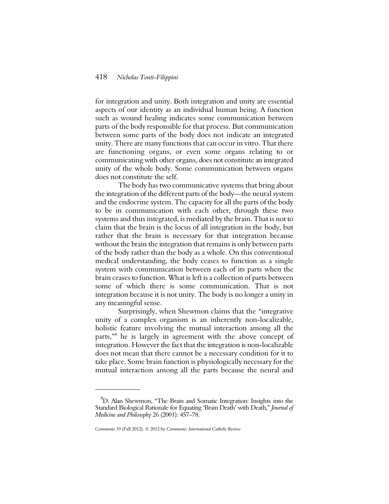## 418 *Nicholas Tonti-Filippini*

for integration and unity. Both integration and unity are essential aspects of our identity as an individual human being. A function such as wound healing indicates some communication between parts of the body responsible for that process. But communication between some parts of the body does not indicate an integrated unity. There are many functions that can occur in vitro. That there are functioning organs, or even some organs relating to or communicating with other organs, does not constitute an integrated unity of the whole body. Some communication between organs does not constitute the self.

The body has two communicative systems that bring about the integration of the different parts of the body—the neural system and the endocrine system. The capacity for all the parts of the body to be in communication with each other, through these two systems and thus integrated, is mediated by the brain. That is not to claim that the brain is the locus of all integration in the body, but rather that the brain is necessary for that integration because without the brain the integration that remains is only between parts of the body rather than the body as a whole. On this conventional medical understanding, the body ceases to function as a single system with communication between each of its parts when the brain ceases to function. What is left is a collection of parts between some of which there is some communication. That is not integration because it is not unity. The body is no longer a unity in any meaningful sense.

Surprisingly, when Shewmon claims that the "integrative unity of a complex organism is an inherently non-localizable, holistic feature involving the mutual interaction among all the parts,"<sup>8</sup> he is largely in agreement with the above concept of integration. However the fact that the integration is non-localizable does not mean that there cannot be a necessary condition for it to take place. Some brain function is physiologically necessary for the mutual interaction among all the parts because the neural and

<sup>8</sup>D. Alan Shewmon, "The Brain and Somatic Integration: Insights into the Standard Biological Rationale for Equating 'Brain Death' with Death," *Journal of Medicine and Philosophy* 26 (2001): 457–78.

*Communio* 39 (Fall 2012). © 2012 by *Communio: International Catholic Review*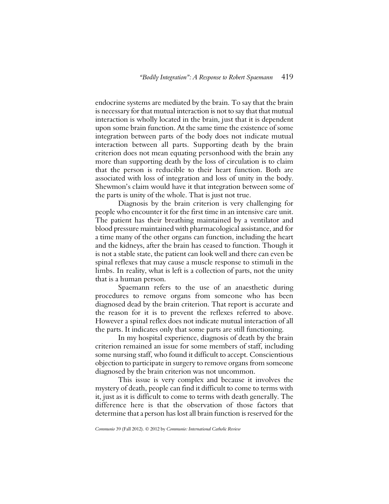endocrine systems are mediated by the brain. To say that the brain is necessary for that mutual interaction is not to say that that mutual interaction is wholly located in the brain, just that it is dependent upon some brain function. At the same time the existence of some integration between parts of the body does not indicate mutual interaction between all parts. Supporting death by the brain criterion does not mean equating personhood with the brain any more than supporting death by the loss of circulation is to claim that the person is reducible to their heart function. Both are associated with loss of integration and loss of unity in the body. Shewmon's claim would have it that integration between some of the parts is unity of the whole. That is just not true.

Diagnosis by the brain criterion is very challenging for people who encounter it for the first time in an intensive care unit. The patient has their breathing maintained by a ventilator and blood pressure maintained with pharmacological assistance, and for a time many of the other organs can function, including the heart and the kidneys, after the brain has ceased to function. Though it is not a stable state, the patient can look well and there can even be spinal reflexes that may cause a muscle response to stimuli in the limbs. In reality, what is left is a collection of parts, not the unity that is a human person.

Spaemann refers to the use of an anaesthetic during procedures to remove organs from someone who has been diagnosed dead by the brain criterion. That report is accurate and the reason for it is to prevent the reflexes referred to above. However a spinal reflex does not indicate mutual interaction of all the parts. It indicates only that some parts are still functioning.

In my hospital experience, diagnosis of death by the brain criterion remained an issue for some members of staff, including some nursing staff, who found it difficult to accept. Conscientious objection to participate in surgery to remove organs from someone diagnosed by the brain criterion was not uncommon.

This issue is very complex and because it involves the mystery of death, people can find it difficult to come to terms with it, just as it is difficult to come to terms with death generally. The difference here is that the observation of those factors that determine that a person has lost all brain function is reserved for the

*Communio* 39 (Fall 2012). © 2012 by *Communio: International Catholic Review*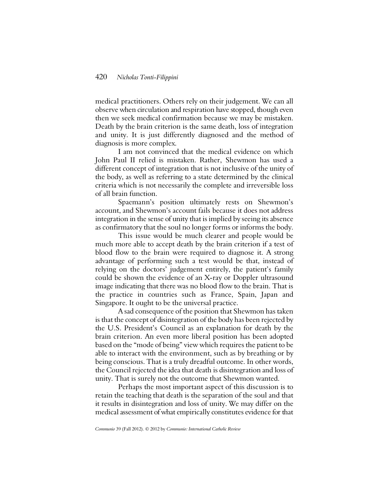## 420 *Nicholas Tonti-Filippini*

medical practitioners. Others rely on their judgement. We can all observe when circulation and respiration have stopped, though even then we seek medical confirmation because we may be mistaken. Death by the brain criterion is the same death, loss of integration and unity. It is just differently diagnosed and the method of diagnosis is more complex.

I am not convinced that the medical evidence on which John Paul II relied is mistaken. Rather, Shewmon has used a different concept of integration that is not inclusive of the unity of the body, as well as referring to a state determined by the clinical criteria which is not necessarily the complete and irreversible loss of all brain function.

Spaemann's position ultimately rests on Shewmon's account, and Shewmon's account fails because it does not address integration in the sense of unity that is implied by seeing its absence as confirmatory that the soul no longer forms or informs the body.

This issue would be much clearer and people would be much more able to accept death by the brain criterion if a test of blood flow to the brain were required to diagnose it. A strong advantage of performing such a test would be that, instead of relying on the doctors' judgement entirely, the patient's family could be shown the evidence of an X-ray or Doppler ultrasound image indicating that there was no blood flow to the brain. That is the practice in countries such as France, Spain, Japan and Singapore. It ought to be the universal practice.

A sad consequence of the position that Shewmon has taken is that the concept of disintegration of the body has been rejected by the U.S. President's Council as an explanation for death by the brain criterion. An even more liberal position has been adopted based on the "mode of being" view which requires the patient to be able to interact with the environment, such as by breathing or by being conscious. That is a truly dreadful outcome. In other words, the Council rejected the idea that death is disintegration and loss of unity. That is surely not the outcome that Shewmon wanted.

Perhaps the most important aspect of this discussion is to retain the teaching that death is the separation of the soul and that it results in disintegration and loss of unity. We may differ on the medical assessment of what empirically constitutes evidence for that

*Communio* 39 (Fall 2012). © 2012 by *Communio: International Catholic Review*